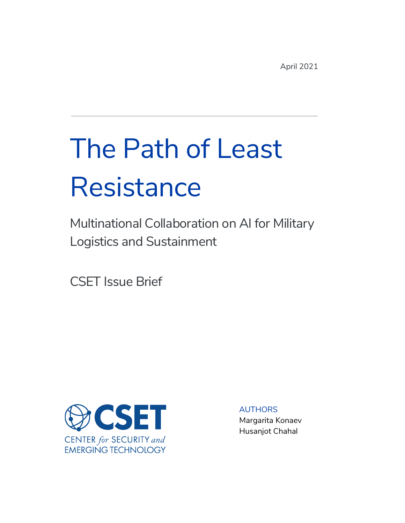April 2021

# The Path of Least **Resistance**

Multinational Collaboration on AI for Military Logistics and Sustainment

CSET Issue Brief



AUTHORS Margarita Konaev Husanjot Chahal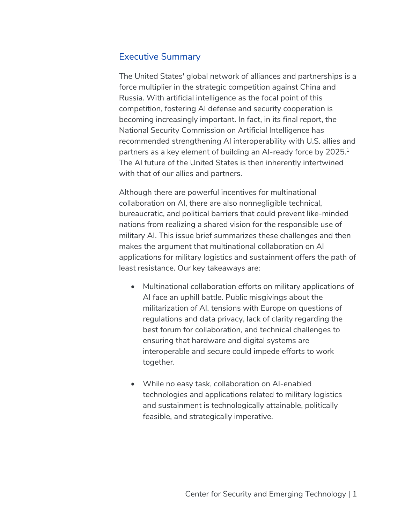## Executive Summary

The United States' global network of alliances and partnerships is a force multiplier in the strategic competition against China and Russia. With artificial intelligence as the focal point of this competition, fostering AI defense and security cooperation is becoming increasingly important. In fact, in its final report, the National Security Commission on Artificial Intelligence has recommended strengthening AI interoperability with U.S. allies and partners as a key element of building an AI-ready force by 2025.<sup>1</sup> The AI future of the United States is then inherently intertwined with that of our allies and partners.

Although there are powerful incentives for multinational collaboration on AI, there are also nonnegligible technical, bureaucratic, and political barriers that could prevent like-minded nations from realizing a shared vision for the responsible use of military AI. This issue brief summarizes these challenges and then makes the argument that multinational collaboration on AI applications for military logistics and sustainment offers the path of least resistance. Our key takeaways are:

- Multinational collaboration efforts on military applications of AI face an uphill battle. Public misgivings about the militarization of AI, tensions with Europe on questions of regulations and data privacy, lack of clarity regarding the best forum for collaboration, and technical challenges to ensuring that hardware and digital systems are interoperable and secure could impede efforts to work together.
- While no easy task, collaboration on AI-enabled technologies and applications related to military logistics and sustainment is technologically attainable, politically feasible, and strategically imperative.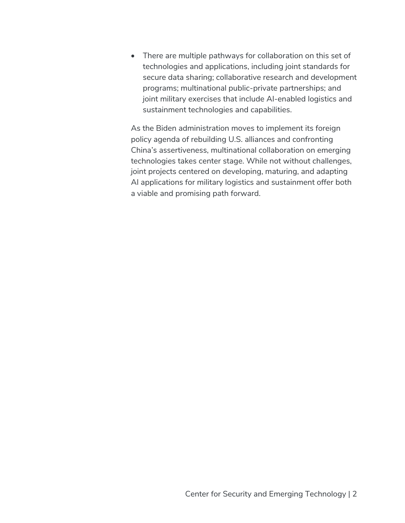• There are multiple pathways for collaboration on this set of technologies and applications, including joint standards for secure data sharing; collaborative research and development programs; multinational public-private partnerships; and joint military exercises that include AI-enabled logistics and sustainment technologies and capabilities.

As the Biden administration moves to implement its foreign policy agenda of rebuilding U.S. alliances and confronting China's assertiveness, multinational collaboration on emerging technologies takes center stage. While not without challenges, joint projects centered on developing, maturing, and adapting AI applications for military logistics and sustainment offer both a viable and promising path forward.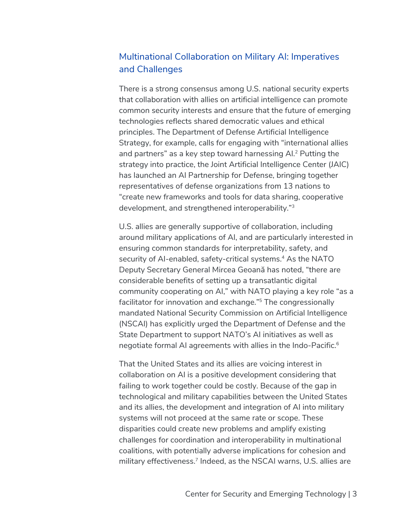# Multinational Collaboration on Military AI: Imperatives and Challenges

There is a strong consensus among U.S. national security experts that collaboration with allies on artificial intelligence can promote common security interests and ensure that the future of emerging technologies reflects shared democratic values and ethical principles. The Department of Defense Artificial Intelligence Strategy, for example, calls for engaging with "international allies and partners" as a key step toward harnessing AI.2 Putting the strategy into practice, the Joint Artificial Intelligence Center (JAIC) has launched an AI Partnership for Defense, bringing together representatives of defense organizations from 13 nations to "create new frameworks and tools for data sharing, cooperative development, and strengthened interoperability."3

U.S. allies are generally supportive of collaboration, including around military applications of AI, and are particularly interested in ensuring common standards for interpretability, safety, and security of AI-enabled, safety-critical systems.<sup>4</sup> As the NATO Deputy Secretary General Mircea Geoană has noted, "there are considerable benefits of setting up a transatlantic digital community cooperating on AI," with NATO playing a key role "as a facilitator for innovation and exchange."5 The congressionally mandated National Security Commission on Artificial Intelligence (NSCAI) has explicitly urged the Department of Defense and the State Department to support NATO's AI initiatives as well as negotiate formal AI agreements with allies in the Indo-Pacific.<sup>6</sup>

That the United States and its allies are voicing interest in collaboration on AI is a positive development considering that failing to work together could be costly. Because of the gap in technological and military capabilities between the United States and its allies, the development and integration of AI into military systems will not proceed at the same rate or scope. These disparities could create new problems and amplify existing challenges for coordination and interoperability in multinational coalitions, with potentially adverse implications for cohesion and military effectiveness.<sup>7</sup> Indeed, as the NSCAI warns, U.S. allies are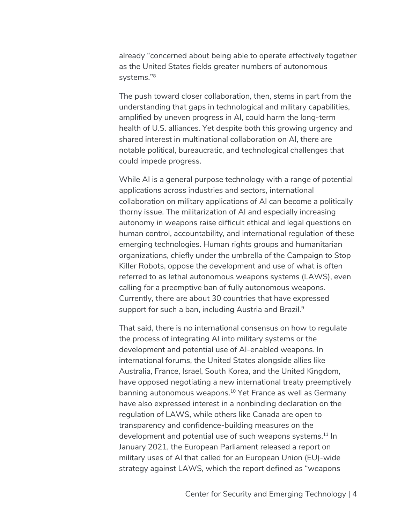already "concerned about being able to operate effectively together as the United States fields greater numbers of autonomous systems."8

The push toward closer collaboration, then, stems in part from the understanding that gaps in technological and military capabilities, amplified by uneven progress in AI, could harm the long-term health of U.S. alliances. Yet despite both this growing urgency and shared interest in multinational collaboration on AI, there are notable political, bureaucratic, and technological challenges that could impede progress.

While AI is a general purpose technology with a range of potential applications across industries and sectors, international collaboration on military applications of AI can become a politically thorny issue. The militarization of AI and especially increasing autonomy in weapons raise difficult ethical and legal questions on human control, accountability, and international regulation of these emerging technologies. Human rights groups and humanitarian organizations, chiefly under the umbrella of the Campaign to Stop Killer Robots, oppose the development and use of what is often referred to as lethal autonomous weapons systems (LAWS), even calling for a preemptive ban of fully autonomous weapons. Currently, there are about 30 countries that have expressed support for such a ban, including Austria and Brazil.<sup>9</sup>

That said, there is no international consensus on how to regulate the process of integrating AI into military systems or the development and potential use of AI-enabled weapons. In international forums, the United States alongside allies like Australia, France, Israel, South Korea, and the United Kingdom, have opposed negotiating a new international treaty preemptively banning autonomous weapons. <sup>10</sup> Yet France as well as Germany have also expressed interest in a nonbinding declaration on the regulation of LAWS, while others like Canada are open to transparency and confidence-building measures on the development and potential use of such weapons systems.<sup>11</sup> In January 2021, the European Parliament released a report on military uses of AI that called for an European Union (EU)-wide strategy against LAWS, which the report defined as "weapons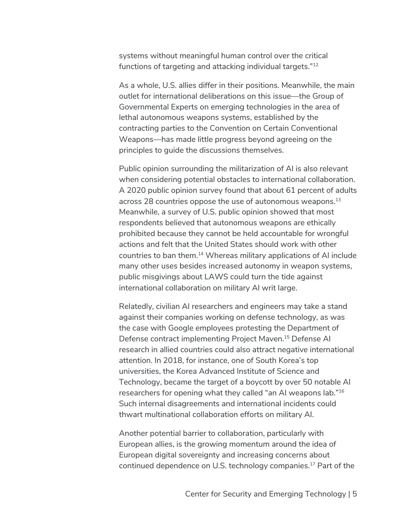systems without meaningful human control over the critical functions of targeting and attacking individual targets."12

As a whole, U.S. allies differ in their positions. Meanwhile, the main outlet for international deliberations on this issue—the Group of Governmental Experts on emerging technologies in the area of lethal autonomous weapons systems, established by the contracting parties to the Convention on Certain Conventional Weapons—has made little progress beyond agreeing on the principles to guide the discussions themselves.

Public opinion surrounding the militarization of AI is also relevant when considering potential obstacles to international collaboration. A 2020 public opinion survey found that about 61 percent of adults across 28 countries oppose the use of autonomous weapons.<sup>13</sup> Meanwhile, a survey of U.S. public opinion showed that most respondents believed that autonomous weapons are ethically prohibited because they cannot be held accountable for wrongful actions and felt that the United States should work with other countries to ban them.14 Whereas military applications of AI include many other uses besides increased autonomy in weapon systems, public misgivings about LAWS could turn the tide against international collaboration on military AI writ large.

Relatedly, civilian AI researchers and engineers may take a stand against their companies working on defense technology, as was the case with Google employees protesting the Department of Defense contract implementing Project Maven.15 Defense AI research in allied countries could also attract negative international attention. In 2018, for instance, one of South Korea's top universities, the Korea Advanced Institute of Science and Technology, became the target of a boycott by over 50 notable AI researchers for opening what they called "an AI weapons lab."16 Such internal disagreements and international incidents could thwart multinational collaboration efforts on military AI.

Another potential barrier to collaboration, particularly with European allies, is the growing momentum around the idea of European digital sovereignty and increasing concerns about continued dependence on U.S. technology companies.17 Part of the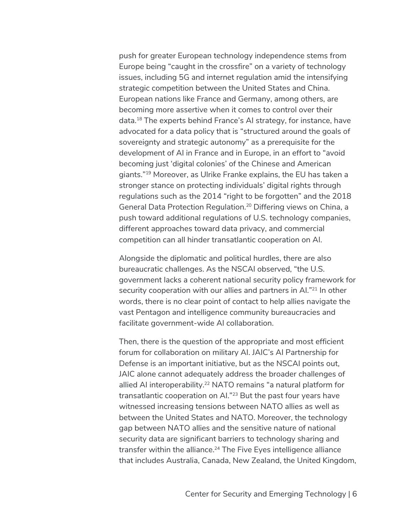push for greater European technology independence stems from Europe being "caught in the crossfire" on a variety of technology issues, including 5G and internet regulation amid the intensifying strategic competition between the United States and China. European nations like France and Germany, among others, are becoming more assertive when it comes to control over their data. <sup>18</sup> The experts behind France's AI strategy, for instance, have advocated for a data policy that is "structured around the goals of sovereignty and strategic autonomy" as a prerequisite for the development of AI in France and in Europe, in an effort to "avoid becoming just 'digital colonies' of the Chinese and American giants."19 Moreover, as Ulrike Franke explains, the EU has taken a stronger stance on protecting individuals' digital rights through regulations such as the 2014 "right to be forgotten" and the 2018 General Data Protection Regulation.20 Differing views on China, a push toward additional regulations of U.S. technology companies, different approaches toward data privacy, and commercial competition can all hinder transatlantic cooperation on AI.

Alongside the diplomatic and political hurdles, there are also bureaucratic challenges. As the NSCAI observed, "the U.S. government lacks a coherent national security policy framework for security cooperation with our allies and partners in Al."<sup>21</sup> In other words, there is no clear point of contact to help allies navigate the vast Pentagon and intelligence community bureaucracies and facilitate government-wide AI collaboration.

Then, there is the question of the appropriate and most efficient forum for collaboration on military AI. JAIC's AI Partnership for Defense is an important initiative, but as the NSCAI points out, JAIC alone cannot adequately address the broader challenges of allied AI interoperability.<sup>22</sup> NATO remains "a natural platform for transatlantic cooperation on Al."<sup>23</sup> But the past four years have witnessed increasing tensions between NATO allies as well as between the United States and NATO. Moreover, the technology gap between NATO allies and the sensitive nature of national security data are significant barriers to technology sharing and transfer within the alliance. <sup>24</sup> The Five Eyes intelligence alliance that includes Australia, Canada, New Zealand, the United Kingdom,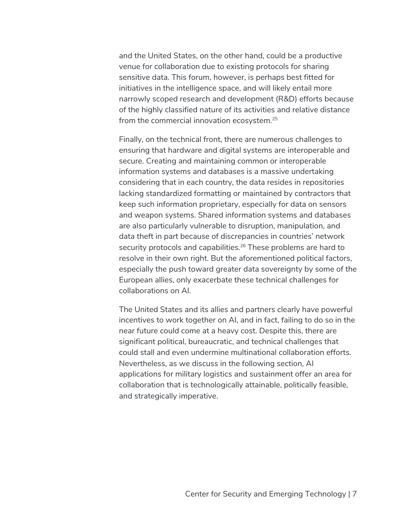and the United States, on the other hand, could be a productive venue for collaboration due to existing protocols for sharing sensitive data. This forum, however, is perhaps best fitted for initiatives in the intelligence space, and will likely entail more narrowly scoped research and development (R&D) efforts because of the highly classified nature of its activities and relative distance from the commercial innovation ecosystem.25

Finally, on the technical front, there are numerous challenges to ensuring that hardware and digital systems are interoperable and secure. Creating and maintaining common or interoperable information systems and databases is a massive undertaking considering that in each country, the data resides in repositories lacking standardized formatting or maintained by contractors that keep such information proprietary, especially for data on sensors and weapon systems. Shared information systems and databases are also particularly vulnerable to disruption, manipulation, and data theft in part because of discrepancies in countries' network security protocols and capabilities.<sup>26</sup> These problems are hard to resolve in their own right. But the aforementioned political factors, especially the push toward greater data sovereignty by some of the European allies, only exacerbate these technical challenges for collaborations on AI.

The United States and its allies and partners clearly have powerful incentives to work together on AI, and in fact, failing to do so in the near future could come at a heavy cost. Despite this, there are significant political, bureaucratic, and technical challenges that could stall and even undermine multinational collaboration efforts. Nevertheless, as we discuss in the following section, AI applications for military logistics and sustainment offer an area for collaboration that is technologically attainable, politically feasible, and strategically imperative.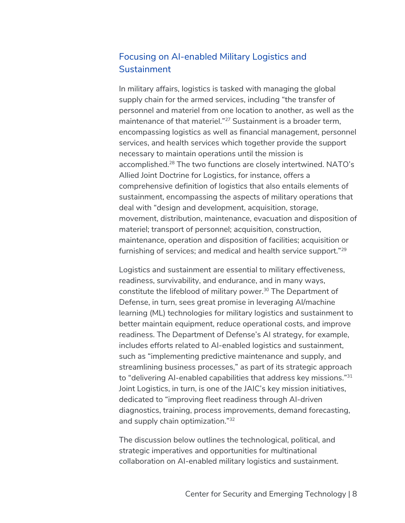# Focusing on AI-enabled Military Logistics and **Sustainment**

In military affairs, logistics is tasked with managing the global supply chain for the armed services, including "the transfer of personnel and materiel from one location to another, as well as the maintenance of that materiel."<sup>27</sup> Sustainment is a broader term, encompassing logistics as well as financial management, personnel services, and health services which together provide the support necessary to maintain operations until the mission is accomplished.28 The two functions are closely intertwined. NATO's Allied Joint Doctrine for Logistics, for instance, offers a comprehensive definition of logistics that also entails elements of sustainment, encompassing the aspects of military operations that deal with "design and development, acquisition, storage, movement, distribution, maintenance, evacuation and disposition of materiel; transport of personnel; acquisition, construction, maintenance, operation and disposition of facilities; acquisition or furnishing of services; and medical and health service support."29

Logistics and sustainment are essential to military effectiveness, readiness, survivability, and endurance, and in many ways, constitute the lifeblood of military power.<sup>30</sup> The Department of Defense, in turn, sees great promise in leveraging AI/machine learning (ML) technologies for military logistics and sustainment to better maintain equipment, reduce operational costs, and improve readiness. The Department of Defense's AI strategy, for example, includes efforts related to AI-enabled logistics and sustainment, such as "implementing predictive maintenance and supply, and streamlining business processes," as part of its strategic approach to "delivering AI-enabled capabilities that address key missions."<sup>31</sup> Joint Logistics, in turn, is one of the JAIC's key mission initiatives, dedicated to "improving fleet readiness through AI-driven diagnostics, training, process improvements, demand forecasting, and supply chain optimization."32

The discussion below outlines the technological, political, and strategic imperatives and opportunities for multinational collaboration on AI-enabled military logistics and sustainment.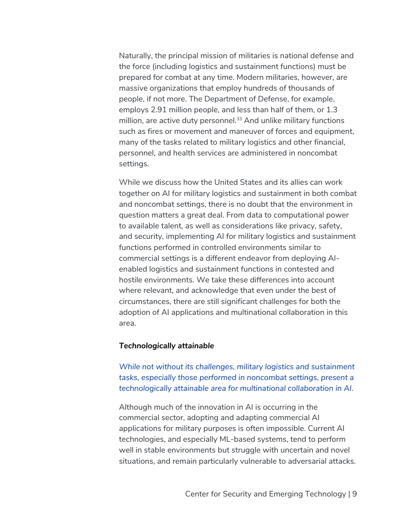Naturally, the principal mission of militaries is national defense and the force (including logistics and sustainment functions) must be prepared for combat at any time. Modern militaries, however, are massive organizations that employ hundreds of thousands of people, if not more. The Department of Defense, for example, employs 2.91 million people, and less than half of them, or 1.3 million, are active duty personnel. $33$  And unlike military functions such as fires or movement and maneuver of forces and equipment, many of the tasks related to military logistics and other financial, personnel, and health services are administered in noncombat settings.

While we discuss how the United States and its allies can work together on AI for military logistics and sustainment in both combat and noncombat settings, there is no doubt that the environment in question matters a great deal. From data to computational power to available talent, as well as considerations like privacy, safety, and security, implementing AI for military logistics and sustainment functions performed in controlled environments similar to commercial settings is a different endeavor from deploying AIenabled logistics and sustainment functions in contested and hostile environments. We take these differences into account where relevant, and acknowledge that even under the best of circumstances, there are still significant challenges for both the adoption of AI applications and multinational collaboration in this area.

#### *Technologically attainable*

*While not without its challenges, military logistics and sustainment tasks, especially those performed in noncombat settings, present a technologically attainable area for multinational collaboration in AI.* 

Although much of the innovation in AI is occurring in the commercial sector, adopting and adapting commercial AI applications for military purposes is often impossible. Current AI technologies, and especially ML-based systems, tend to perform well in stable environments but struggle with uncertain and novel situations, and remain particularly vulnerable to adversarial attacks.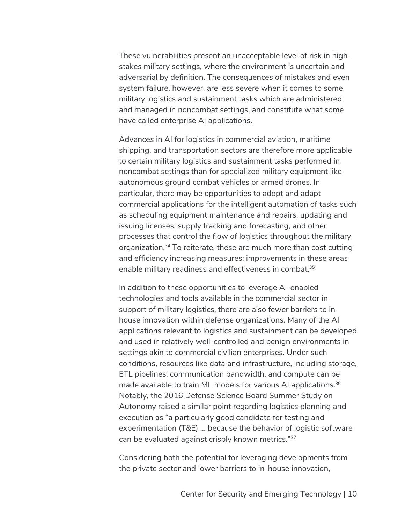These vulnerabilities present an unacceptable level of risk in highstakes military settings, where the environment is uncertain and adversarial by definition. The consequences of mistakes and even system failure, however, are less severe when it comes to some military logistics and sustainment tasks which are administered and managed in noncombat settings, and constitute what some have called enterprise AI applications.

Advances in AI for logistics in commercial aviation, maritime shipping, and transportation sectors are therefore more applicable to certain military logistics and sustainment tasks performed in noncombat settings than for specialized military equipment like autonomous ground combat vehicles or armed drones. In particular, there may be opportunities to adopt and adapt commercial applications for the intelligent automation of tasks such as scheduling equipment maintenance and repairs, updating and issuing licenses, supply tracking and forecasting, and other processes that control the flow of logistics throughout the military organization.34 To reiterate, these are much more than cost cutting and efficiency increasing measures; improvements in these areas enable military readiness and effectiveness in combat.<sup>35</sup>

In addition to these opportunities to leverage AI-enabled technologies and tools available in the commercial sector in support of military logistics, there are also fewer barriers to inhouse innovation within defense organizations. Many of the AI applications relevant to logistics and sustainment can be developed and used in relatively well-controlled and benign environments in settings akin to commercial civilian enterprises. Under such conditions, resources like data and infrastructure, including storage, ETL pipelines, communication bandwidth, and compute can be made available to train ML models for various AI applications.<sup>36</sup> Notably, the 2016 Defense Science Board Summer Study on Autonomy raised a similar point regarding logistics planning and execution as "a particularly good candidate for testing and experimentation (T&E) … because the behavior of logistic software can be evaluated against crisply known metrics."37

Considering both the potential for leveraging developments from the private sector and lower barriers to in-house innovation,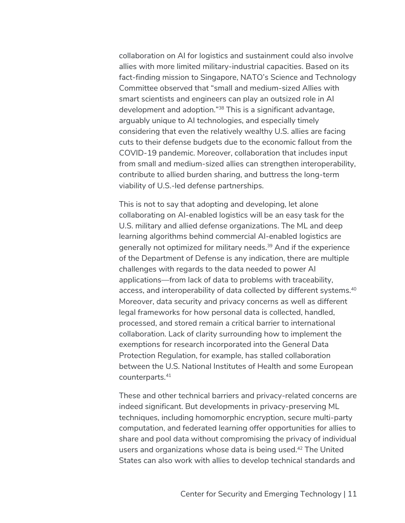collaboration on AI for logistics and sustainment could also involve allies with more limited military-industrial capacities. Based on its fact-finding mission to Singapore, NATO's Science and Technology Committee observed that "small and medium-sized Allies with smart scientists and engineers can play an outsized role in AI development and adoption."38 This is a significant advantage, arguably unique to AI technologies, and especially timely considering that even the relatively wealthy U.S. allies are facing cuts to their defense budgets due to the economic fallout from the COVID-19 pandemic. Moreover, collaboration that includes input from small and medium-sized allies can strengthen interoperability, contribute to allied burden sharing, and buttress the long-term viability of U.S.-led defense partnerships.

This is not to say that adopting and developing, let alone collaborating on AI-enabled logistics will be an easy task for the U.S. military and allied defense organizations. The ML and deep learning algorithms behind commercial AI-enabled logistics are generally not optimized for military needs.<sup>39</sup> And if the experience of the Department of Defense is any indication, there are multiple challenges with regards to the data needed to power AI applications—from lack of data to problems with traceability, access, and interoperability of data collected by different systems.<sup>40</sup> Moreover, data security and privacy concerns as well as different legal frameworks for how personal data is collected, handled, processed, and stored remain a critical barrier to international collaboration. Lack of clarity surrounding how to implement the exemptions for research incorporated into the General Data Protection Regulation, for example, has stalled collaboration between the U.S. National Institutes of Health and some European counterparts.41

These and other technical barriers and privacy-related concerns are indeed significant. But developments in privacy-preserving ML techniques, including homomorphic encryption, secure multi-party computation, and federated learning offer opportunities for allies to share and pool data without compromising the privacy of individual users and organizations whose data is being used.42 The United States can also work with allies to develop technical standards and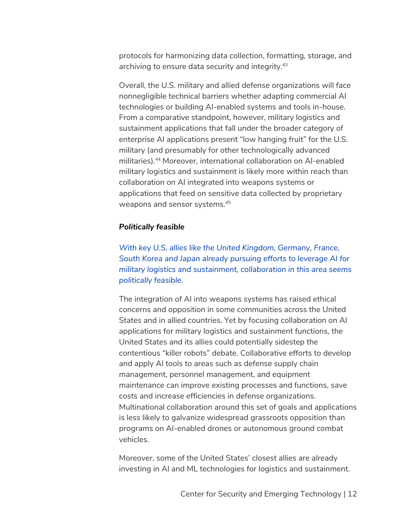protocols for harmonizing data collection, formatting, storage, and archiving to ensure data security and integrity.<sup>43</sup>

Overall, the U.S. military and allied defense organizations will face nonnegligible technical barriers whether adapting commercial AI technologies or building AI-enabled systems and tools in-house. From a comparative standpoint, however, military logistics and sustainment applications that fall under the broader category of enterprise AI applications present "low hanging fruit" for the U.S. military (and presumably for other technologically advanced militaries).44 Moreover, international collaboration on AI-enabled military logistics and sustainment is likely more within reach than collaboration on AI integrated into weapons systems or applications that feed on sensitive data collected by proprietary weapons and sensor systems.45

#### *Politically feasible*

*With key U.S. allies like the United Kingdom, Germany, France, South Korea and Japan already pursuing efforts to leverage AI for military logistics and sustainment, collaboration in this area seems politically feasible.* 

The integration of AI into weapons systems has raised ethical concerns and opposition in some communities across the United States and in allied countries. Yet by focusing collaboration on AI applications for military logistics and sustainment functions, the United States and its allies could potentially sidestep the contentious "killer robots" debate. Collaborative efforts to develop and apply AI tools to areas such as defense supply chain management, personnel management, and equipment maintenance can improve existing processes and functions, save costs and increase efficiencies in defense organizations. Multinational collaboration around this set of goals and applications is less likely to galvanize widespread grassroots opposition than programs on AI-enabled drones or autonomous ground combat vehicles.

Moreover, some of the United States' closest allies are already investing in AI and ML technologies for logistics and sustainment.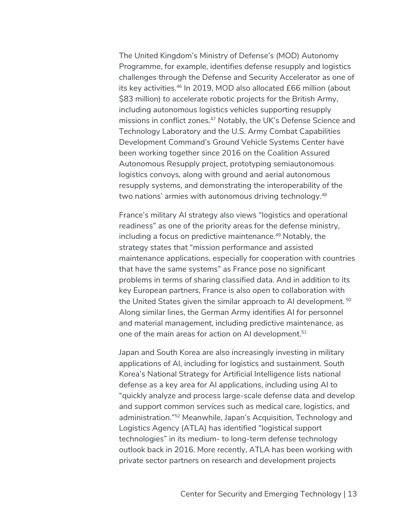The United Kingdom's Ministry of Defense's (MOD) Autonomy Programme, for example, identifies defense resupply and logistics challenges through the Defense and Security Accelerator as one of its key activities.46 In 2019, MOD also allocated £66 million (about \$83 million) to accelerate robotic projects for the British Army, including autonomous logistics vehicles supporting resupply missions in conflict zones.<sup>47</sup> Notably, the UK's Defense Science and Technology Laboratory and the U.S. Army Combat Capabilities Development Command's Ground Vehicle Systems Center have been working together since 2016 on the Coalition Assured Autonomous Resupply project, prototyping semiautonomous logistics convoys, along with ground and aerial autonomous resupply systems, and demonstrating the interoperability of the two nations' armies with autonomous driving technology.<sup>48</sup>

France's military AI strategy also views "logistics and operational readiness" as one of the priority areas for the defense ministry, including a focus on predictive maintenance. <sup>49</sup> Notably, the strategy states that "mission performance and assisted maintenance applications, especially for cooperation with countries that have the same systems" as France pose no significant problems in terms of sharing classified data. And in addition to its key European partners, France is also open to collaboration with the United States given the similar approach to AI development.<sup>50</sup> Along similar lines, the German Army identifies AI for personnel and material management, including predictive maintenance, as one of the main areas for action on AI development.<sup>51</sup>

Japan and South Korea are also increasingly investing in military applications of AI, including for logistics and sustainment. South Korea's National Strategy for Artificial Intelligence lists national defense as a key area for AI applications, including using AI to "quickly analyze and process large-scale defense data and develop and support common services such as medical care, logistics, and administration."52 Meanwhile, Japan's Acquisition, Technology and Logistics Agency (ATLA) has identified "logistical support technologies" in its medium- to long-term defense technology outlook back in 2016. More recently, ATLA has been working with private sector partners on research and development projects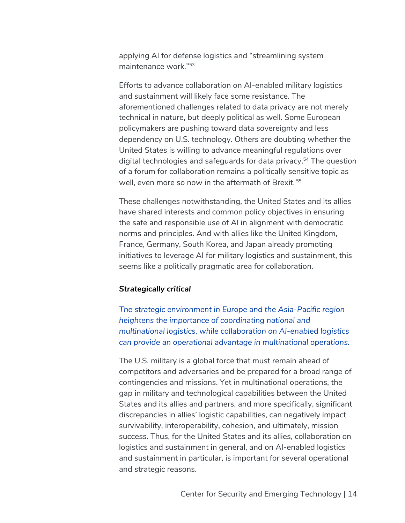applying AI for defense logistics and "streamlining system maintenance work."53

Efforts to advance collaboration on AI-enabled military logistics and sustainment will likely face some resistance. The aforementioned challenges related to data privacy are not merely technical in nature, but deeply political as well. Some European policymakers are pushing toward data sovereignty and less dependency on U.S. technology. Others are doubting whether the United States is willing to advance meaningful regulations over digital technologies and safeguards for data privacy.<sup>54</sup> The question of a forum for collaboration remains a politically sensitive topic as well, even more so now in the aftermath of Brexit.<sup>55</sup>

These challenges notwithstanding, the United States and its allies have shared interests and common policy objectives in ensuring the safe and responsible use of AI in alignment with democratic norms and principles. And with allies like the United Kingdom, France, Germany, South Korea, and Japan already promoting initiatives to leverage AI for military logistics and sustainment, this seems like a politically pragmatic area for collaboration.

#### *Strategically critical*

*The strategic environment in Europe and the Asia-Pacific region heightens the importance of coordinating national and multinational logistics, while collaboration on AI-enabled logistics can provide an operational advantage in multinational operations.*

The U.S. military is a global force that must remain ahead of competitors and adversaries and be prepared for a broad range of contingencies and missions. Yet in multinational operations, the gap in military and technological capabilities between the United States and its allies and partners, and more specifically, significant discrepancies in allies' logistic capabilities, can negatively impact survivability, interoperability, cohesion, and ultimately, mission success. Thus, for the United States and its allies, collaboration on logistics and sustainment in general, and on AI-enabled logistics and sustainment in particular, is important for several operational and strategic reasons.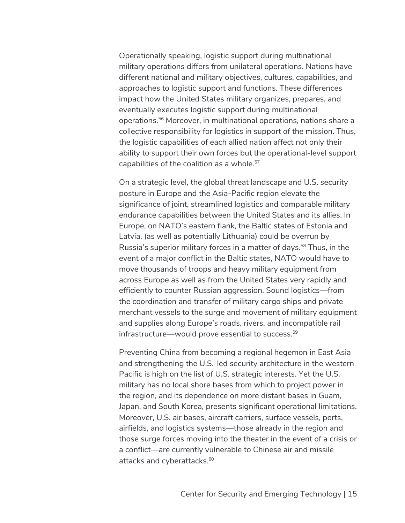Operationally speaking, logistic support during multinational military operations differs from unilateral operations. Nations have different national and military objectives, cultures, capabilities, and approaches to logistic support and functions. These differences impact how the United States military organizes, prepares, and eventually executes logistic support during multinational operations.56 Moreover, in multinational operations, nations share a collective responsibility for logistics in support of the mission. Thus, the logistic capabilities of each allied nation affect not only their ability to support their own forces but the operational-level support capabilities of the coalition as a whole.<sup>57</sup>

On a strategic level, the global threat landscape and U.S. security posture in Europe and the Asia-Pacific region elevate the significance of joint, streamlined logistics and comparable military endurance capabilities between the United States and its allies. In Europe, on NATO's eastern flank, the Baltic states of Estonia and Latvia, (as well as potentially Lithuania) could be overrun by Russia's superior military forces in a matter of days.<sup>58</sup> Thus, in the event of a major conflict in the Baltic states, NATO would have to move thousands of troops and heavy military equipment from across Europe as well as from the United States very rapidly and efficiently to counter Russian aggression. Sound logistics—from the coordination and transfer of military cargo ships and private merchant vessels to the surge and movement of military equipment and supplies along Europe's roads, rivers, and incompatible rail infrastructure—would prove essential to success. 59

Preventing China from becoming a regional hegemon in East Asia and strengthening the U.S.-led security architecture in the western Pacific is high on the list of U.S. strategic interests. Yet the U.S. military has no local shore bases from which to project power in the region, and its dependence on more distant bases in Guam, Japan, and South Korea, presents significant operational limitations. Moreover, U.S. air bases, aircraft carriers, surface vessels, ports, airfields, and logistics systems—those already in the region and those surge forces moving into the theater in the event of a crisis or a conflict—are currently vulnerable to Chinese air and missile attacks and cyberattacks.<sup>60</sup>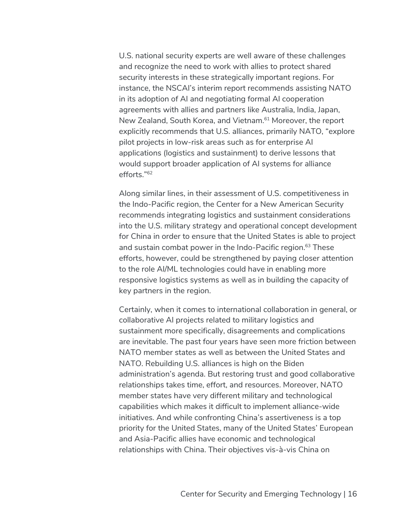U.S. national security experts are well aware of these challenges and recognize the need to work with allies to protect shared security interests in these strategically important regions. For instance, the NSCAI's interim report recommends assisting NATO in its adoption of AI and negotiating formal AI cooperation agreements with allies and partners like Australia, India, Japan, New Zealand, South Korea, and Vietnam.<sup>61</sup> Moreover, the report explicitly recommends that U.S. alliances, primarily NATO, "explore pilot projects in low-risk areas such as for enterprise AI applications (logistics and sustainment) to derive lessons that would support broader application of AI systems for alliance efforts."62

Along similar lines, in their assessment of U.S. competitiveness in the Indo-Pacific region, the Center for a New American Security recommends integrating logistics and sustainment considerations into the U.S. military strategy and operational concept development for China in order to ensure that the United States is able to project and sustain combat power in the Indo-Pacific region. <sup>63</sup> These efforts, however, could be strengthened by paying closer attention to the role AI/ML technologies could have in enabling more responsive logistics systems as well as in building the capacity of key partners in the region.

Certainly, when it comes to international collaboration in general, or collaborative AI projects related to military logistics and sustainment more specifically, disagreements and complications are inevitable. The past four years have seen more friction between NATO member states as well as between the United States and NATO. Rebuilding U.S. alliances is high on the Biden administration's agenda. But restoring trust and good collaborative relationships takes time, effort, and resources. Moreover, NATO member states have very different military and technological capabilities which makes it difficult to implement alliance-wide initiatives. And while confronting China's assertiveness is a top priority for the United States, many of the United States' European and Asia-Pacific allies have economic and technological relationships with China. Their objectives vis-à-vis China on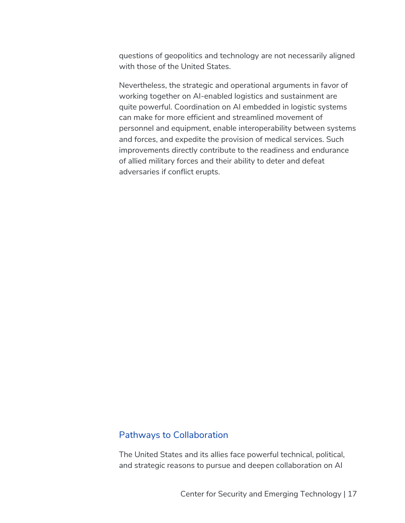questions of geopolitics and technology are not necessarily aligned with those of the United States.

Nevertheless, the strategic and operational arguments in favor of working together on AI-enabled logistics and sustainment are quite powerful. Coordination on AI embedded in logistic systems can make for more efficient and streamlined movement of personnel and equipment, enable interoperability between systems and forces, and expedite the provision of medical services. Such improvements directly contribute to the readiness and endurance of allied military forces and their ability to deter and defeat adversaries if conflict erupts.

### Pathways to Collaboration

The United States and its allies face powerful technical, political, and strategic reasons to pursue and deepen collaboration on AI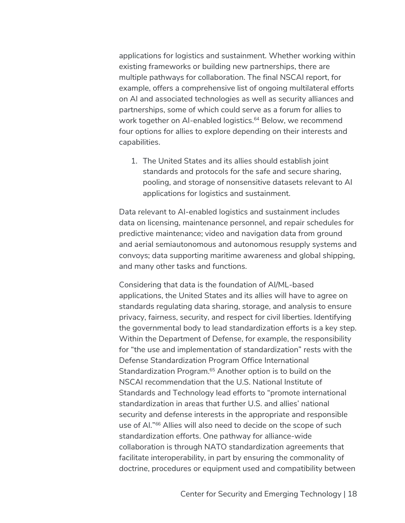applications for logistics and sustainment. Whether working within existing frameworks or building new partnerships, there are multiple pathways for collaboration. The final NSCAI report, for example, offers a comprehensive list of ongoing multilateral efforts on AI and associated technologies as well as security alliances and partnerships, some of which could serve as a forum for allies to work together on AI-enabled logistics.<sup>64</sup> Below, we recommend four options for allies to explore depending on their interests and capabilities.

1. The United States and its allies should establish joint standards and protocols for the safe and secure sharing, pooling, and storage of nonsensitive datasets relevant to AI applications for logistics and sustainment.

Data relevant to AI-enabled logistics and sustainment includes data on licensing, maintenance personnel, and repair schedules for predictive maintenance; video and navigation data from ground and aerial semiautonomous and autonomous resupply systems and convoys; data supporting maritime awareness and global shipping, and many other tasks and functions.

Considering that data is the foundation of AI/ML-based applications, the United States and its allies will have to agree on standards regulating data sharing, storage, and analysis to ensure privacy, fairness, security, and respect for civil liberties. Identifying the governmental body to lead standardization efforts is a key step. Within the Department of Defense, for example, the responsibility for "the use and implementation of standardization" rests with the Defense Standardization Program Office International Standardization Program.<sup>65</sup> Another option is to build on the NSCAI recommendation that the U.S. National Institute of Standards and Technology lead efforts to "promote international standardization in areas that further U.S. and allies' national security and defense interests in the appropriate and responsible use of AI."<sup>66</sup> Allies will also need to decide on the scope of such standardization efforts. One pathway for alliance-wide collaboration is through NATO standardization agreements that facilitate interoperability, in part by ensuring the commonality of doctrine, procedures or equipment used and compatibility between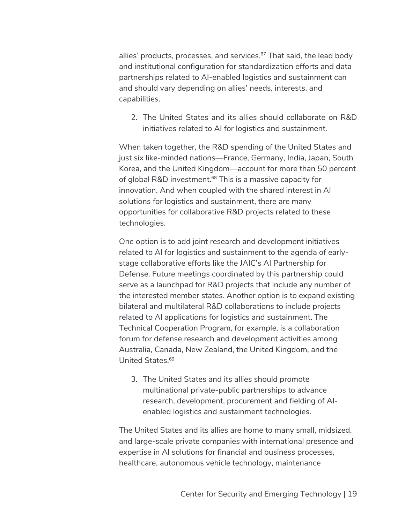allies' products, processes, and services.<sup>67</sup> That said, the lead body and institutional configuration for standardization efforts and data partnerships related to AI-enabled logistics and sustainment can and should vary depending on allies' needs, interests, and capabilities.

2. The United States and its allies should collaborate on R&D initiatives related to AI for logistics and sustainment.

When taken together, the R&D spending of the United States and just six like-minded nations—France, Germany, India, Japan, South Korea, and the United Kingdom—account for more than 50 percent of global R&D investment.<sup>68</sup> This is a massive capacity for innovation. And when coupled with the shared interest in AI solutions for logistics and sustainment, there are many opportunities for collaborative R&D projects related to these technologies.

One option is to add joint research and development initiatives related to AI for logistics and sustainment to the agenda of earlystage collaborative efforts like the JAIC's AI Partnership for Defense. Future meetings coordinated by this partnership could serve as a launchpad for R&D projects that include any number of the interested member states. Another option is to expand existing bilateral and multilateral R&D collaborations to include projects related to AI applications for logistics and sustainment. The Technical Cooperation Program, for example, is a collaboration forum for defense research and development activities among Australia, Canada, New Zealand, the United Kingdom, and the United States.69

3. The United States and its allies should promote multinational private-public partnerships to advance research, development, procurement and fielding of AIenabled logistics and sustainment technologies.

The United States and its allies are home to many small, midsized, and large-scale private companies with international presence and expertise in AI solutions for financial and business processes, healthcare, autonomous vehicle technology, maintenance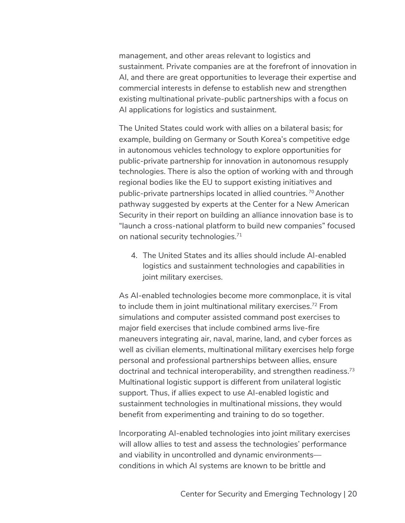management, and other areas relevant to logistics and sustainment. Private companies are at the forefront of innovation in AI, and there are great opportunities to leverage their expertise and commercial interests in defense to establish new and strengthen existing multinational private-public partnerships with a focus on AI applications for logistics and sustainment.

The United States could work with allies on a bilateral basis; for example, building on Germany or South Korea's competitive edge in autonomous vehicles technology to explore opportunities for public-private partnership for innovation in autonomous resupply technologies. There is also the option of working with and through regional bodies like the EU to support existing initiatives and public-private partnerships located in allied countries. <sup>70</sup> Another pathway suggested by experts at the Center for a New American Security in their report on building an alliance innovation base is to "launch a cross-national platform to build new companies" focused on national security technologies.<sup>71</sup>

4. The United States and its allies should include AI-enabled logistics and sustainment technologies and capabilities in joint military exercises.

As AI-enabled technologies become more commonplace, it is vital to include them in joint multinational military exercises.<sup>72</sup> From simulations and computer assisted command post exercises to major field exercises that include combined arms live-fire maneuvers integrating air, naval, marine, land, and cyber forces as well as civilian elements, multinational military exercises help forge personal and professional partnerships between allies, ensure doctrinal and technical interoperability, and strengthen readiness.73 Multinational logistic support is different from unilateral logistic support. Thus, if allies expect to use AI-enabled logistic and sustainment technologies in multinational missions, they would benefit from experimenting and training to do so together.

Incorporating AI-enabled technologies into joint military exercises will allow allies to test and assess the technologies' performance and viability in uncontrolled and dynamic environments conditions in which AI systems are known to be brittle and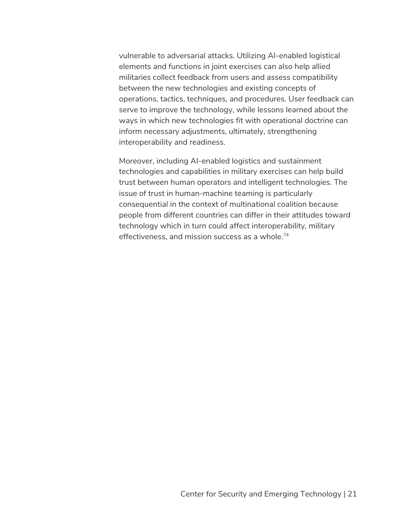vulnerable to adversarial attacks. Utilizing AI-enabled logistical elements and functions in joint exercises can also help allied militaries collect feedback from users and assess compatibility between the new technologies and existing concepts of operations, tactics, techniques, and procedures. User feedback can serve to improve the technology, while lessons learned about the ways in which new technologies fit with operational doctrine can inform necessary adjustments, ultimately, strengthening interoperability and readiness.

Moreover, including AI-enabled logistics and sustainment technologies and capabilities in military exercises can help build trust between human operators and intelligent technologies. The issue of trust in human-machine teaming is particularly consequential in the context of multinational coalition because people from different countries can differ in their attitudes toward technology which in turn could affect interoperability, military effectiveness, and mission success as a whole.74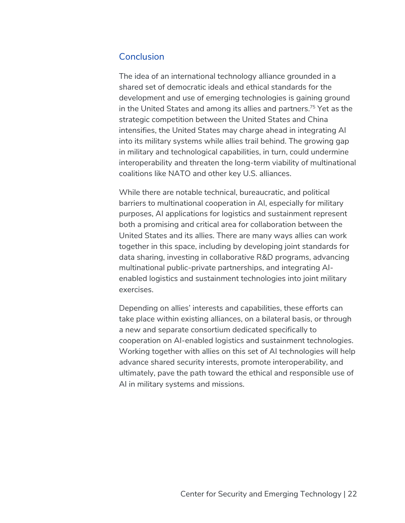## **Conclusion**

The idea of an international technology alliance grounded in a shared set of democratic ideals and ethical standards for the development and use of emerging technologies is gaining ground in the United States and among its allies and partners.<sup>75</sup> Yet as the strategic competition between the United States and China intensifies, the United States may charge ahead in integrating AI into its military systems while allies trail behind. The growing gap in military and technological capabilities, in turn, could undermine interoperability and threaten the long-term viability of multinational coalitions like NATO and other key U.S. alliances.

While there are notable technical, bureaucratic, and political barriers to multinational cooperation in AI, especially for military purposes, AI applications for logistics and sustainment represent both a promising and critical area for collaboration between the United States and its allies. There are many ways allies can work together in this space, including by developing joint standards for data sharing, investing in collaborative R&D programs, advancing multinational public-private partnerships, and integrating AIenabled logistics and sustainment technologies into joint military exercises.

Depending on allies' interests and capabilities, these efforts can take place within existing alliances, on a bilateral basis, or through a new and separate consortium dedicated specifically to cooperation on AI-enabled logistics and sustainment technologies. Working together with allies on this set of AI technologies will help advance shared security interests, promote interoperability, and ultimately, pave the path toward the ethical and responsible use of AI in military systems and missions.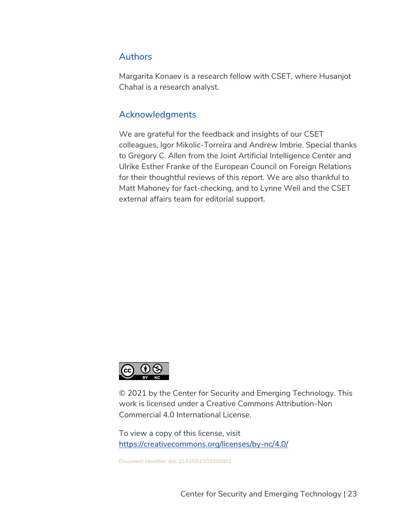## Authors

Margarita Konaev is a research fellow with CSET, where Husanjot Chahal is a research analyst.

# Acknowledgments

We are grateful for the feedback and insights of our CSET colleagues, Igor Mikolic-Torreira and Andrew Imbrie. Special thanks to Gregory C. Allen from the Joint Artificial Intelligence Center and Ulrike Esther Franke of the European Council on Foreign Relations for their thoughtful reviews of this report. We are also thankful to Matt Mahoney for fact-checking, and to Lynne Weil and the CSET external affairs team for editorial support.



© 2021 by the Center for Security and Emerging Technology. This work is licensed under a Creative Commons Attribution-Non Commercial 4.0 International License.

To view a copy of this license, visit https://creativecommons.org/licenses/by-nc/4.0/

Document Identifier: doi: 10.51593/202000052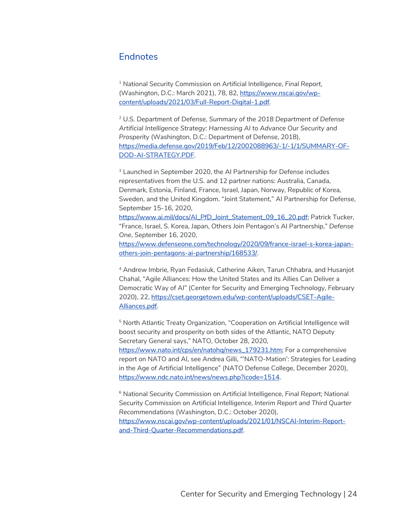#### **Endnotes**

<sup>1</sup> National Security Commission on Artificial Intelligence, *Final Report,*  (Washington, D.C.: March 2021), 78, 82, https://www.nscai.gov/wpcontent/uploads/2021/03/Full-Report-Digital-1.pdf.

<sup>2</sup> U.S. Department of Defense, *Summary of the 2018 Department of Defense Artificial Intelligence Strategy: Harnessing AI to Advance Our Security and Prosperity* (Washington, D.C.: Department of Defense, 2018), https://media.defense.gov/2019/Feb/12/2002088963/-1/-1/1/SUMMARY-OF-DOD-AI-STRATEGY.PDF.

<sup>3</sup> Launched in September 2020, the AI Partnership for Defense includes representatives from the U.S. and 12 partner nations: Australia, Canada, Denmark, Estonia, Finland, France, Israel, Japan, Norway, Republic of Korea, Sweden, and the United Kingdom. "Joint Statement," AI Partnership for Defense, September 15-16, 2020, https://www.ai.mil/docs/Al\_PfD\_Joint\_Statement\_09\_16\_20.pdf; Patrick Tucker,

"France, Israel, S. Korea, Japan, Others Join Pentagon's AI Partnership," *Defense One*, September 16, 2020,

https://www.defenseone.com/technology/2020/09/france-israel-s-korea-japanothers-join-pentagons-ai-partnership/168533/.

<sup>4</sup> Andrew Imbrie, Ryan Fedasiuk, Catherine Aiken, Tarun Chhabra, and Husanjot Chahal, "Agile Alliances: How the United States and its Allies Can Deliver a Democratic Way of AI" (Center for Security and Emerging Technology, February 2020), 22, https://cset.georgetown.edu/wp-content/uploads/CSET-Agile-Alliances.pdf.

<sup>5</sup> North Atlantic Treaty Organization, "Cooperation on Artificial Intelligence will boost security and prosperity on both sides of the Atlantic, NATO Deputy Secretary General says," NATO, October 28, 2020, https://www.nato.int/cps/en/natohq/news\_179231.htm; For a comprehensive report on NATO and AI, see Andrea Gilli, "'NATO-Mation': Strategies for Leading in the Age of Artificial Intelligence" (NATO Defense College, December 2020), https://www.ndc.nato.int/news/news.php?icode=1514.

<sup>6</sup> National Security Commission on Artificial Intelligence, *Final Report;* National Security Commission on Artificial Intelligence, *Interim Report and Third Quarter Recommendations* (Washington, D.C.: October 2020), https://www.nscai.gov/wp-content/uploads/2021/01/NSCAI-Interim-Reportand-Third-Quarter-Recommendations.pdf.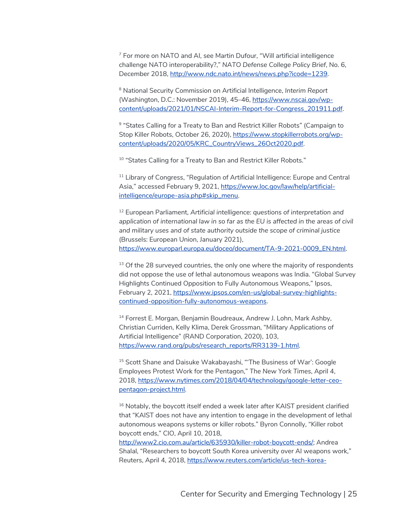<sup>7</sup> For more on NATO and AI, see Martin Dufour, "Will artificial intelligence challenge NATO interoperability?," *NATO Defense College Policy Brief*, No. 6, December 2018, http://www.ndc.nato.int/news/news.php?icode=1239.

<sup>8</sup> National Security Commission on Artificial Intelligence, *Interim Report* (Washington, D.C.: November 2019), 45–46, https://www.nscai.gov/wpcontent/uploads/2021/01/NSCAI-Interim-Report-for-Congress\_201911.pdf.

9 "States Calling for a Treaty to Ban and Restrict Killer Robots" (Campaign to Stop Killer Robots, October 26, 2020), https://www.stopkillerrobots.org/wpcontent/uploads/2020/05/KRC\_CountryViews\_26Oct2020.pdf.

<sup>10</sup> "States Calling for a Treaty to Ban and Restrict Killer Robots."

<sup>11</sup> Library of Congress, "Regulation of Artificial Intelligence: Europe and Central Asia," accessed February 9, 2021, https://www.loc.gov/law/help/artificialintelligence/europe-asia.php#skip\_menu.

<sup>12</sup> European Parliament, *Artificial intelligence: questions of interpretation and application of international law in so far as the EU is affected in the areas of civil and military uses and of state authority outside the scope of criminal justice* (Brussels: European Union, January 2021), https://www.europarl.europa.eu/doceo/document/TA-9-2021-0009\_EN.html.

 $13$  Of the 28 surveyed countries, the only one where the majority of respondents did not oppose the use of lethal autonomous weapons was India. "Global Survey Highlights Continued Opposition to Fully Autonomous Weapons," Ipsos, February 2, 2021, https://www.ipsos.com/en-us/global-survey-highlightscontinued-opposition-fully-autonomous-weapons.

<sup>14</sup> Forrest E. Morgan, Benjamin Boudreaux, Andrew J. Lohn, Mark Ashby, Christian Curriden, Kelly Klima, Derek Grossman, "Military Applications of Artificial Intelligence" (RAND Corporation, 2020), 103, https://www.rand.org/pubs/research\_reports/RR3139-1.html.

<sup>15</sup> Scott Shane and Daisuke Wakabayashi, "The Business of War': Google Employees Protest Work for the Pentagon," *The New York Times*, April 4, 2018, https://www.nytimes.com/2018/04/04/technology/google-letter-ceopentagon-project.html.

<sup>16</sup> Notably, the boycott itself ended a week later after KAIST president clarified that "KAIST does not have any intention to engage in the development of lethal autonomous weapons systems or killer robots." Byron Connolly, "Killer robot boycott ends," CIO, April 10, 2018,

http://www2.cio.com.au/article/635930/killer-robot-boycott-ends/; Andrea Shalal, "Researchers to boycott South Korea university over AI weapons work," Reuters, April 4, 2018, https://www.reuters.com/article/us-tech-korea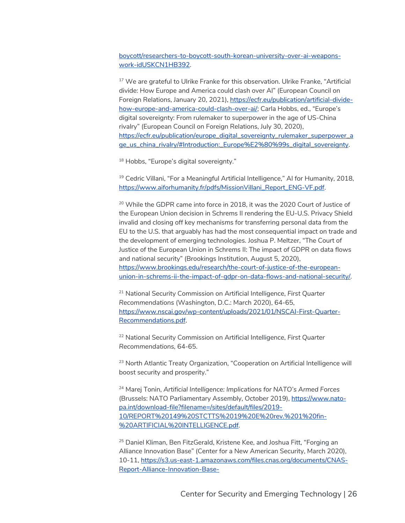boycott/researchers-to-boycott-south-korean-university-over-ai-weaponswork-idUSKCN1HB392.

<sup>17</sup> We are grateful to Ulrike Franke for this observation. Ulrike Franke, "Artificial divide: How Europe and America could clash over AI" (European Council on Foreign Relations, January 20, 2021), https://ecfr.eu/publication/artificial-dividehow-europe-and-america-could-clash-over-ai/; Carla Hobbs, ed., "Europe's digital sovereignty: From rulemaker to superpower in the age of US-China rivalry" (European Council on Foreign Relations, July 30, 2020), https://ecfr.eu/publication/europe\_digital\_sovereignty\_rulemaker\_superpower\_a ge\_us\_china\_rivalry/#Introduction:\_Europe%E2%80%99s\_digital\_sovereignty.

<sup>18</sup> Hobbs, "Europe's digital sovereignty."

<sup>19</sup> Cedric Villani, "For a Meaningful Artificial Intelligence," AI for Humanity, 2018, https://www.aiforhumanity.fr/pdfs/MissionVillani\_Report\_ENG-VF.pdf.

<sup>20</sup> While the GDPR came into force in 2018, it was the 2020 Court of Justice of the European Union decision in Schrems II rendering the EU-U.S. Privacy Shield invalid and closing off key mechanisms for transferring personal data from the EU to the U.S. that arguably has had the most consequential impact on trade and the development of emerging technologies. Joshua P. Meltzer, "The Court of Justice of the European Union in Schrems II: The impact of GDPR on data flows and national security" (Brookings Institution, August 5, 2020), https://www.brookings.edu/research/the-court-of-justice-of-the-europeanunion-in-schrems-ii-the-impact-of-gdpr-on-data-flows-and-national-security/.

<sup>21</sup> National Security Commission on Artificial Intelligence, *First Quarter Recommendations* (Washington, D.C.: March 2020), 64-65, https://www.nscai.gov/wp-content/uploads/2021/01/NSCAI-First-Quarter-Recommendations.pdf.

<sup>22</sup> National Security Commission on Artificial Intelligence, *First Quarter Recommendations,* 64-65.

<sup>23</sup> North Atlantic Treaty Organization, "Cooperation on Artificial Intelligence will boost security and prosperity."

<sup>24</sup> Marej Tonin, *Artificial Intelligence: Implications for NATO's Armed Forces* (Brussels: NATO Parliamentary Assembly, October 2019), https://www.natopa.int/download-file?filename=/sites/default/files/2019- 10/REPORT%20149%20STCTTS%2019%20E%20rev.%201%20fin- %20ARTIFICIAL%20INTELLIGENCE.pdf.

<sup>25</sup> Daniel Kliman, Ben FitzGerald, Kristene Kee, and Joshua Fitt, "Forging an Alliance Innovation Base" (Center for a New American Security, March 2020), 10-11, https://s3.us-east-1.amazonaws.com/files.cnas.org/documents/CNAS-Report-Alliance-Innovation-Base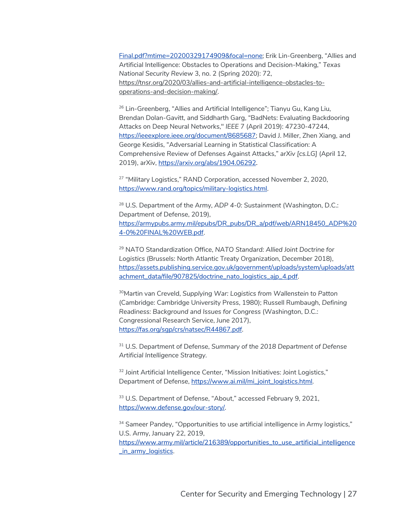Final.pdf?mtime=20200329174909&focal=none; Erik Lin-Greenberg, "Allies and Artificial Intelligence: Obstacles to Operations and Decision-Making," *Texas National Security Review* 3, no. 2 (Spring 2020): 72, https://tnsr.org/2020/03/allies-and-artificial-intelligence-obstacles-tooperations-and-decision-making/.

<sup>26</sup> Lin-Greenberg, "Allies and Artificial Intelligence"; Tianyu Gu, Kang Liu, Brendan Dolan-Gavitt, and Siddharth Garg, "BadNets: Evaluating Backdooring Attacks on Deep Neural Networks," *IEEE* 7 (April 2019): 47230-47244, https://ieeexplore.ieee.org/document/8685687; David J. Miller, Zhen Xiang, and George Kesidis, "Adversarial Learning in Statistical Classification: A Comprehensive Review of Defenses Against Attacks," *arXiv [cs.LG]* (April 12, 2019), arXiv, https://arxiv.org/abs/1904.06292.

<sup>27</sup> "Military Logistics," RAND Corporation, accessed November 2, 2020, https://www.rand.org/topics/military-logistics.html.

<sup>28</sup> U.S. Department of the Army, *ADP 4-0: Sustainment* (Washington, D.C.: Department of Defense, 2019), https://armypubs.army.mil/epubs/DR\_pubs/DR\_a/pdf/web/ARN18450\_ADP%20 4-0%20FINAL%20WEB.pdf.

<sup>29</sup> NATO Standardization Office, *NATO Standard: Allied Joint Doctrine for Logistics* (Brussels: North Atlantic Treaty Organization, December 2018), https://assets.publishing.service.gov.uk/government/uploads/system/uploads/att achment\_data/file/907825/doctrine\_nato\_logistics\_ajp\_4.pdf.

30Martin van Creveld, *Supplying War: Logistics from Wallenstein to Patton* (Cambridge: Cambridge University Press, 1980); Russell Rumbaugh, *Defining Readiness: Background and Issues for Congress* (Washington, D.C.: Congressional Research Service, June 2017), https://fas.org/sgp/crs/natsec/R44867.pdf.

<sup>31</sup> U.S. Department of Defense, *Summary of the 2018 Department of Defense Artificial Intelligence Strategy.*

<sup>32</sup> Joint Artificial Intelligence Center, "Mission Initiatives: Joint Logistics," Department of Defense, https://www.ai.mil/mi\_joint\_logistics.html.

33 U.S. Department of Defense, "About," accessed February 9, 2021, https://www.defense.gov/our-story/.

<sup>34</sup> Sameer Pandey, "Opportunities to use artificial intelligence in Army logistics," U.S. Army, January 22, 2019, https://www.army.mil/article/216389/opportunities\_to\_use\_artificial\_intelligence \_in\_army\_logistics.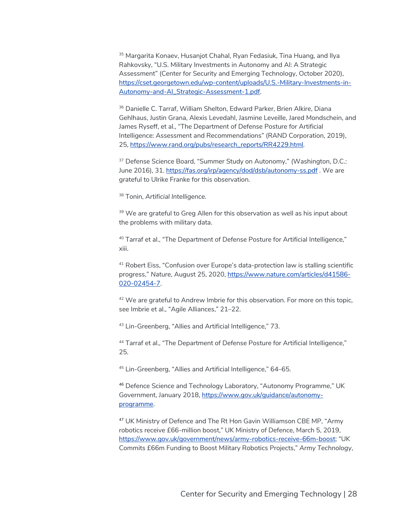<sup>35</sup> Margarita Konaey, Husanjot Chahal, Ryan Fedasiuk, Tina Huang, and Ilya Rahkovsky, "U.S. Military Investments in Autonomy and AI: A Strategic Assessment" (Center for Security and Emerging Technology, October 2020), https://cset.georgetown.edu/wp-content/uploads/U.S.-Military-Investments-in-Autonomy-and-AI\_Strategic-Assessment-1.pdf.

<sup>36</sup> Danielle C. Tarraf, William Shelton, Edward Parker, Brien Alkire, Diana Gehlhaus, Justin Grana, Alexis Levedahl, Jasmine Leveille, Jared Mondschein, and James Ryseff, et al., "The Department of Defense Posture for Artificial Intelligence: Assessment and Recommendations" (RAND Corporation, 2019), 25, https://www.rand.org/pubs/research\_reports/RR4229.html.

<sup>37</sup> Defense Science Board, "Summer Study on Autonomy," (Washington, D.C.: June 2016), 31. https://fas.org/irp/agency/dod/dsb/autonomy-ss.pdf . We are grateful to Ulrike Franke for this observation.

<sup>38</sup> Tonin, *Artificial Intelligence.*

 $39$  We are grateful to Greg Allen for this observation as well as his input about the problems with military data.

<sup>40</sup> Tarraf et al., "The Department of Defense Posture for Artificial Intelligence," xiii.

<sup>41</sup> Robert Eiss, "Confusion over Europe's data-protection law is stalling scientific progress," *Nature,* August 25, 2020, https://www.nature.com/articles/d41586- 020-02454-7.

<sup>42</sup> We are grateful to Andrew Imbrie for this observation. For more on this topic, see Imbrie et al., "Agile Alliances," 21–22.

<sup>43</sup> Lin-Greenberg, "Allies and Artificial Intelligence," 73.

<sup>44</sup> Tarraf et al., "The Department of Defense Posture for Artificial Intelligence," 25.

<sup>45</sup> Lin-Greenberg, "Allies and Artificial Intelligence," 64–65.

<sup>46</sup> Defence Science and Technology Laboratory, "Autonomy Programme," UK Government, January 2018, https://www.gov.uk/guidance/autonomyprogramme.

<sup>47</sup> UK Ministry of Defence and The Rt Hon Gavin Williamson CBE MP, "Army robotics receive £66-million boost," UK Ministry of Defence, March 5, 2019, https://www.gov.uk/government/news/army-robotics-receive-66m-boost; "UK Commits £66m Funding to Boost Military Robotics Projects," *Army Technology*,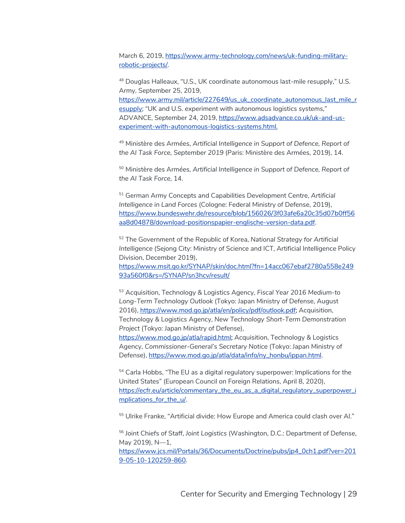March 6, 2019, https://www.army-technology.com/news/uk-funding-militaryrobotic-projects/.

<sup>48</sup> Douglas Halleaux, "U.S., UK coordinate autonomous last-mile resupply," U.S. Army, September 25, 2019, https://www.army.mil/article/227649/us\_uk\_coordinate\_autonomous\_last\_mile\_r esupply; "UK and U.S. experiment with autonomous logistics systems," ADVANCE, September 24, 2019, https://www.adsadvance.co.uk/uk-and-usexperiment-with-autonomous-logistics-systems.html.

<sup>49</sup> Ministère des Armées, *Artificial Intelligence in Support of Defence, Report of the AI Task Force, September 2019* (Paris: Ministère des Armées, 2019), 14.

<sup>50</sup> Ministère des Armées, *Artificial Intelligence in Support of Defence, Report of the AI Task Force,* 14.

<sup>51</sup> German Army Concepts and Capabilities Development Centre, *Artificial Intelligence in Land Forces* (Cologne: Federal Ministry of Defense, 2019), https://www.bundeswehr.de/resource/blob/156026/3f03afe6a20c35d07b0ff56 aa8d04878/download-positionspapier-englische-version-data.pdf.

<sup>52</sup> The Government of the Republic of Korea, *National Strategy for Artificial Intelligence* (Sejong City: Ministry of Science and ICT, Artificial Intelligence Policy Division, December 2019),

https://www.msit.go.kr/SYNAP/skin/doc.html?fn=14acc067ebaf2780a558e249 93a560f0&rs=/SYNAP/sn3hcv/result/

<sup>53</sup> Acquisition, Technology & Logistics Agency, *Fiscal Year 2016 Medium-to Long-Term Technology Outlook* (Tokyo: Japan Ministry of Defense, August 2016), https://www.mod.go.jp/atla/en/policy/pdf/outlook.pdf; Acquisition, Technology & Logistics Agency, *New Technology Short-Term Demonstration Project* (Tokyo: Japan Ministry of Defense), https://www.mod.go.jp/atla/rapid.html; Acquisition, Technology & Logistics

Agency, *Commissioner-General's Secretary Notice* (Tokyo: Japan Ministry of Defense), https://www.mod.go.jp/atla/data/info/ny\_honbu/ippan.html.

<sup>54</sup> Carla Hobbs, "The EU as a digital regulatory superpower: Implications for the United States" (European Council on Foreign Relations, April 8, 2020), https://ecfr.eu/article/commentary\_the\_eu\_as\_a\_digital\_regulatory\_superpower\_i mplications\_for\_the\_u/.

<sup>55</sup> Ulrike Franke, "Artificial divide: How Europe and America could clash over Al."

<sup>56</sup> Joint Chiefs of Staff, *Joint Logistics* (Washington, D.C.: Department of Defense, May 2019), N—1,

https://www.jcs.mil/Portals/36/Documents/Doctrine/pubs/jp4\_0ch1.pdf?ver=201 9-05-10-120259-860.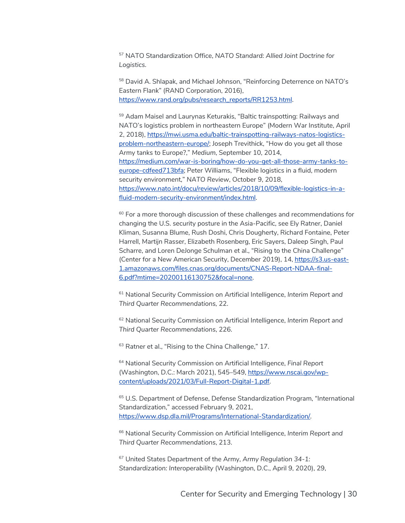<sup>57</sup> NATO Standardization Office, *NATO Standard: Allied Joint Doctrine for Logistics.*

<sup>58</sup> David A. Shlapak, and Michael Johnson, "Reinforcing Deterrence on NATO's Eastern Flank" (RAND Corporation, 2016), https://www.rand.org/pubs/research\_reports/RR1253.html.

<sup>59</sup> Adam Maisel and Laurynas Keturakis, "Baltic trainspotting: Railways and NATO's logistics problem in northeastern Europe" (Modern War Institute, April 2, 2018), https://mwi.usma.edu/baltic-trainspotting-railways-natos-logisticsproblem-northeastern-europe/; Joseph Trevithick, "How do you get all those Army tanks to Europe?," *Medium*, September 10, 2014, https://medium.com/war-is-boring/how-do-you-get-all-those-army-tanks-toeurope-cdfeed713bfa; Peter Williams, "Flexible logistics in a fluid, modern security environment," *NATO Review*, October 9, 2018, https://www.nato.int/docu/review/articles/2018/10/09/flexible-logistics-in-afluid-modern-security-environment/index.html.

 $60$  For a more thorough discussion of these challenges and recommendations for changing the U.S. security posture in the Asia-Pacific, see Ely Ratner, Daniel Kliman, Susanna Blume, Rush Doshi, Chris Dougherty, Richard Fontaine, Peter Harrell, Martijn Rasser, Elizabeth Rosenberg, Eric Sayers, Daleep Singh, Paul Scharre, and Loren DeJonge Schulman et al., "Rising to the China Challenge" (Center for a New American Security, December 2019), 14, https://s3.us-east-1.amazonaws.com/files.cnas.org/documents/CNAS-Report-NDAA-final-6.pdf?mtime=20200116130752&focal=none.

<sup>61</sup> National Security Commission on Artificial Intelligence, *Interim Report and Third Quarter Recommendations,* 22.

<sup>62</sup> National Security Commission on Artificial Intelligence, *Interim Report and Third Quarter Recommendations*, 226.

<sup>63</sup> Ratner et al., "Rising to the China Challenge." 17.

<sup>64</sup> National Security Commission on Artificial Intelligence, *Final Report*  (Washington, D.C.: March 2021), 545–549, https://www.nscai.gov/wpcontent/uploads/2021/03/Full-Report-Digital-1.pdf.

<sup>65</sup> U.S. Department of Defense, Defense Standardization Program, "International Standardization," accessed February 9, 2021, https://www.dsp.dla.mil/Programs/International-Standardization/.

<sup>66</sup> National Security Commission on Artificial Intelligence, *Interim Report and Third Quarter Recommendations*, 213.

<sup>67</sup> United States Department of the Army, *Army Regulation 34-1: Standardization: Interoperability* (Washington, D.C., April 9, 2020), 29,